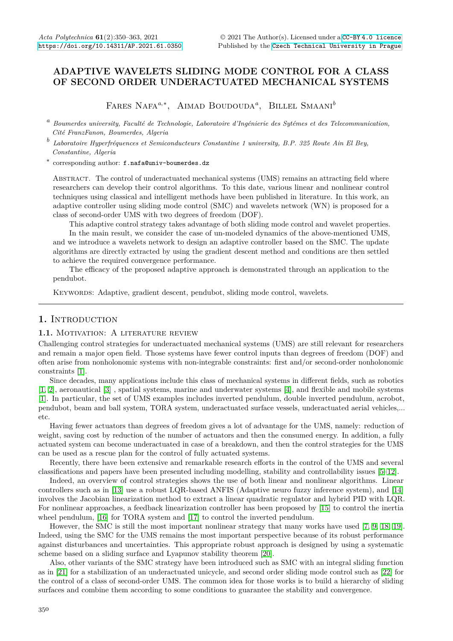# **ADAPTIVE WAVELETS SLIDING MODE CONTROL FOR A CLASS OF SECOND ORDER UNDERACTUATED MECHANICAL SYSTEMS**

Fares Nafa*a*,<sup>∗</sup> , Aimad Boudouda*<sup>a</sup>* , Billel Smaani*<sup>b</sup>*

*<sup>a</sup> Boumerdes university, Faculté de Technologie, Laboratoire d'Ingénierie des Sytémes et des Telecommunication, Cité FranzFanon, Boumerdes, Algeria*

*b Laboratoire Hyperfréquences et Semiconducteurs Constantine 1 university, B.P. 325 Route Ain El Bey, Constantine, Algeria*

∗ corresponding author: f.nafa@univ-boumerdes.dz

Abstract. The control of underactuated mechanical systems (UMS) remains an attracting field where researchers can develop their control algorithms. To this date, various linear and nonlinear control techniques using classical and intelligent methods have been published in literature. In this work, an adaptive controller using sliding mode control (SMC) and wavelets network (WN) is proposed for a class of second-order UMS with two degrees of freedom (DOF).

This adaptive control strategy takes advantage of both sliding mode control and wavelet properties. In the main result, we consider the case of un-modeled dynamics of the above-mentioned UMS, and we introduce a wavelets network to design an adaptive controller based on the SMC. The update algorithms are directly extracted by using the gradient descent method and conditions are then settled to achieve the required convergence performance.

The efficacy of the proposed adaptive approach is demonstrated through an application to the pendubot.

Keywords: Adaptive, gradient descent, pendubot, sliding mode control, wavelets.

# 1. INTRODUCTION

#### 1.1. MOTIVATION: A LITERATURE REVIEW

Challenging control strategies for underactuated mechanical systems (UMS) are still relevant for researchers and remain a major open field. Those systems have fewer control inputs than degrees of freedom (DOF) and often arise from nonholonomic systems with non-integrable constraints: first and/or second-order nonholonomic constraints [\[1\]](#page-10-0).

Since decades, many applications include this class of mechanical systems in different fields, such as robotics [\[1,](#page-10-0) [2\]](#page-11-0), aeronautical [\[3\]](#page-11-1) , spatial systems, marine and underwater systems [\[4\]](#page-11-2), and flexible and mobile systems [\[1\]](#page-10-0). In particular, the set of UMS examples includes inverted pendulum, double inverted pendulum, acrobot, pendubot, beam and ball system, TORA system, underactuated surface vessels, underactuated aerial vehicles,... etc.

Having fewer actuators than degrees of freedom gives a lot of advantage for the UMS, namely: reduction of weight, saving cost by reduction of the number of actuators and then the consumed energy. In addition, a fully actuated system can become underactuated in case of a breakdown, and then the control strategies for the UMS can be used as a rescue plan for the control of fully actuated systems.

Recently, there have been extensive and remarkable research efforts in the control of the UMS and several classifications and papers have been presented including modelling, stability and controllability issues [\[5–](#page-11-3)[12\]](#page-11-4).

Indeed, an overview of control strategies shows the use of both linear and nonlinear algorithms. Linear controllers such as in [\[13\]](#page-11-5) use a robust LQR-based ANFIS (Adaptive neuro fuzzy inference system), and [\[14\]](#page-11-6) involves the Jacobian linearization method to extract a linear quadratic regulator and hybrid PID with LQR. For nonlinear approaches, a feedback linearization controller has been proposed by [\[15\]](#page-11-7) to control the inertia wheel pendulum, [\[16\]](#page-11-8) for TORA system and [\[17\]](#page-11-9) to control the inverted pendulum.

However, the SMC is still the most important nonlinear strategy that many works have used [\[7,](#page-11-10) [9,](#page-11-11) [18,](#page-11-12) [19\]](#page-11-13). Indeed, using the SMC for the UMS remains the most important perspective because of its robust performance against disturbances and uncertainties. This appropriate robust approach is designed by using a systematic scheme based on a sliding surface and Lyapunov stability theorem [\[20\]](#page-11-14).

Also, other variants of the SMC strategy have been introduced such as SMC with an integral sliding function as in [\[21\]](#page-11-15) for a stabilization of an underactuated unicycle, and second order sliding mode control such as [\[22\]](#page-11-16) for the control of a class of second-order UMS. The common idea for those works is to build a hierarchy of sliding surfaces and combine them according to some conditions to guarantee the stability and convergence.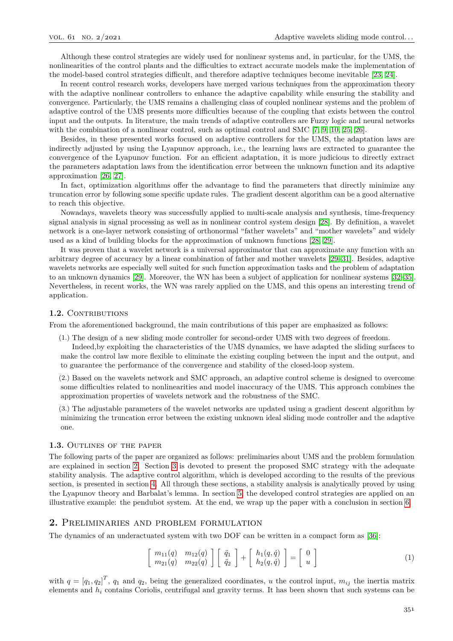Although these control strategies are widely used for nonlinear systems and, in particular, for the UMS, the nonlinearities of the control plants and the difficulties to extract accurate models make the implementation of the model-based control strategies difficult, and therefore adaptive techniques become inevitable [\[23,](#page-11-17) [24\]](#page-11-18).

In recent control research works, developers have merged various techniques from the approximation theory with the adaptive nonlinear controllers to enhance the adaptive capability while ensuring the stability and convergence. Particularly, the UMS remains a challenging class of coupled nonlinear systems and the problem of adaptive control of the UMS presents more difficulties because of the coupling that exists between the control input and the outputs. In literature, the main trends of adaptive controllers are Fuzzy logic and neural networks with the combination of a nonlinear control, such as optimal control and SMC [\[7,](#page-11-10) [9,](#page-11-11) [10,](#page-11-19) [25,](#page-12-0) [26\]](#page-12-1).

Besides, in these presented works focused on adaptive controllers for the UMS, the adaptation laws are indirectly adjusted by using the Lyapunov approach, i.e., the learning laws are extracted to guarantee the convergence of the Lyapunov function. For an efficient adaptation, it is more judicious to directly extract the parameters adaptation laws from the identification error between the unknown function and its adaptive approximation [\[26,](#page-12-1) [27\]](#page-12-2).

In fact, optimization algorithms offer the advantage to find the parameters that directly minimize any truncation error by following some specific update rules. The gradient descent algorithm can be a good alternative to reach this objective.

Nowadays, wavelets theory was successfully applied to multi-scale analysis and synthesis, time-frequency signal analysis in signal processing as well as in nonlinear control system design [\[28\]](#page-12-3). By definition, a wavelet network is a one-layer network consisting of orthonormal "father wavelets" and "mother wavelets" and widely used as a kind of building blocks for the approximation of unknown functions [\[28,](#page-12-3) [29\]](#page-12-4).

It was proven that a wavelet network is a universal approximator that can approximate any function with an arbitrary degree of accuracy by a linear combination of father and mother wavelets [\[29](#page-12-4)[–31\]](#page-12-5). Besides, adaptive wavelets networks are especially well suited for such function approximation tasks and the problem of adaptation to an unknown dynamics [\[29\]](#page-12-4). Moreover, the WN has been a subject of application for nonlinear systems [\[32–](#page-12-6)[35\]](#page-12-7). Nevertheless, in recent works, the WN was rarely applied on the UMS, and this opens an interesting trend of application.

#### 1.2. CONTRIBUTIONS

From the aforementioned background, the main contributions of this paper are emphasized as follows:

(1.) The design of a new sliding mode controller for second-order UMS with two degrees of freedom.

Indeed,by exploiting the characteristics of the UMS dynamics, we have adapted the sliding surfaces to make the control law more flexible to eliminate the existing coupling between the input and the output, and to guarantee the performance of the convergence and stability of the closed-loop system.

(2.) Based on the wavelets network and SMC approach, an adaptive control scheme is designed to overcome some difficulties related to nonlinearities and model inaccuracy of the UMS. This approach combines the approximation properties of wavelets network and the robustness of the SMC.

(3.) The adjustable parameters of the wavelet networks are updated using a gradient descent algorithm by minimizing the truncation error between the existing unknown ideal sliding mode controller and the adaptive one.

#### **1.3.** Outlines of the paper

The following parts of the paper are organized as follows: preliminaries about UMS and the problem formulation are explained in section [2.](#page-1-0) Section [3](#page-2-0) is devoted to present the proposed SMC strategy with the adequate stability analysis. The adaptive control algorithm, which is developed according to the results of the previous section, is presented in section [4.](#page-3-0) All through these sections, a stability analysis is analytically proved by using the Lyapunov theory and Barbalat's lemma. In section [5,](#page-7-0) the developed control strategies are applied on an illustrative example: the pendubot system. At the end, we wrap up the paper with a conclusion in section [6.](#page-10-1)

# <span id="page-1-0"></span>**2.** Preliminaries and problem formulation

The dynamics of an underactuated system with two DOF can be written in a compact form as [\[36\]](#page-12-8):

$$
\begin{bmatrix} m_{11}(q) & m_{12}(q) \\ m_{21}(q) & m_{22}(q) \end{bmatrix} \begin{bmatrix} \ddot{q}_1 \\ \ddot{q}_2 \end{bmatrix} + \begin{bmatrix} h_1(q, \dot{q}) \\ h_2(q, \dot{q}) \end{bmatrix} = \begin{bmatrix} 0 \\ u \end{bmatrix}
$$
 (1)

with  $q = [q_1, q_2]^T$ ,  $q_1$  and  $q_2$ , being the generalized coordinates, *u* the control input,  $m_{ij}$  the inertia matrix elements and *h<sup>i</sup>* contains Coriolis, centrifugal and gravity terms. It has been shown that such systems can be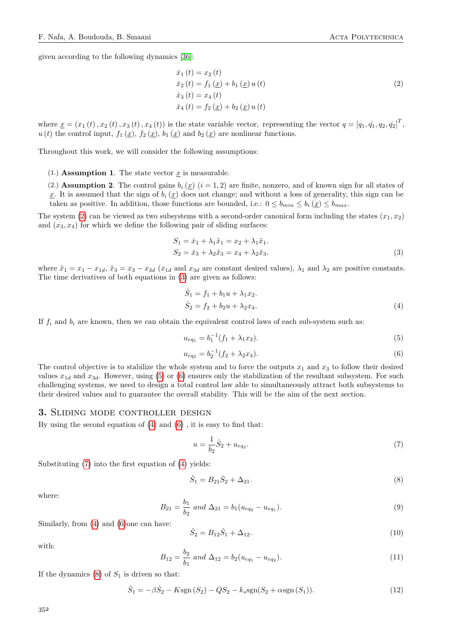given according to the following dynamics [\[36\]](#page-12-8):

<span id="page-2-1"></span>
$$
\begin{aligned}\n\dot{x}_1(t) &= x_2(t) \\
\dot{x}_2(t) &= f_1(\underline{x}) + b_1(\underline{x}) u(t) \\
\dot{x}_3(t) &= x_4(t) \\
\dot{x}_4(t) &= f_2(\underline{x}) + b_2(\underline{x}) u(t)\n\end{aligned} \tag{2}
$$

where  $\underline{x} = (x_1(t), x_2(t), x_3(t), x_4(t))$  is the state variable vector, representing the vector  $q = [q_1, \dot{q}_1, q_2, \dot{q}_2]^T$ ,  $u(t)$  the control input,  $f_1(\underline{x})$ ,  $f_2(\underline{x})$ ,  $b_1(\underline{x})$  and  $b_2(\underline{x})$  are nonlinear functions.

Throughout this work, we will consider the following assumptions:

- (1.) **Assumption 1**. The state vector  $\underline{x}$  is measurable.
- (2.) **Assumption 2**. The control gains  $b_i(x)$  ( $i = 1, 2$ ) are finite, nonzero, and of known sign for all states of
- x. It is assumed that the sign of  $b_i(x)$  does not change; and without a loss of generality, this sign can be taken as positive. In addition, those functions are bounded, i.e.:  $0 \le b_{min} \le b_i(x) \le b_{max}$ .

The system [\(2\)](#page-2-1) can be viewed as two subsystems with a second-order canonical form including the states  $(x_1, x_2)$ and  $(x_3, x_4)$  for which we define the following pair of sliding surfaces:

$$
S_1 = \dot{x}_1 + \lambda_1 \tilde{x}_1 = x_2 + \lambda_1 \tilde{x}_1.
$$
  
\n
$$
S_2 = \dot{x}_3 + \lambda_2 \tilde{x}_3 = x_4 + \lambda_2 \tilde{x}_3.
$$
\n(3)

where  $\tilde{x}_1 = x_1 - x_{1d}$ ,  $\tilde{x}_3 = x_3 - x_{3d}$  ( $x_{1d}$  and  $x_{3d}$  are constant desired values),  $\lambda_1$  and  $\lambda_2$  are positive constants. The time derivatives of both equations in [\(3\)](#page-2-2) are given as follows:

<span id="page-2-5"></span><span id="page-2-2"></span>
$$
\dot{S}_1 = f_1 + b_1 u + \lambda_1 x_2.
$$
  
\n
$$
\dot{S}_2 = f_2 + b_2 u + \lambda_2 x_4.
$$
\n(4)

If  $f_i$  and  $b_i$  are known, then we can obtain the equivalent control laws of each sub-system such as:

<span id="page-2-3"></span>
$$
u_{eq_1} = b_1^{-1}(f_1 + \lambda_1 x_2). \tag{5}
$$

<span id="page-2-4"></span>
$$
u_{eq_2} = b_2^{-1}(f_2 + \lambda_2 x_4). \tag{6}
$$

The control objective is to stabilize the whole system and to force the outputs  $x_1$  and  $x_3$  to follow their desired values  $x_{1d}$  and  $x_{3d}$ . However, using [\(5\)](#page-2-3) or [\(6\)](#page-2-4) ensures only the stabilization of the resultant subsystem. For such challenging systems, we need to design a total control law able to simultaneously attract both subsystems to their desired values and to guarantee the overall stability. This will be the aim of the next section.

## <span id="page-2-0"></span>**3.** Sliding mode controller design

By using the second equation of [\(4\)](#page-2-5) and [\(6\)](#page-2-4) , it is easy to find that:

<span id="page-2-6"></span>
$$
u = \frac{1}{b_2}\dot{S}_2 + u_{eq_2}.\tag{7}
$$

Substituting [\(7\)](#page-2-6) into the first equation of [\(4\)](#page-2-5) yields:

<span id="page-2-7"></span>
$$
\dot{S}_1 = B_{21}\dot{S}_2 + \Delta_{21}.\tag{8}
$$

where:

$$
B_{21} = \frac{b_1}{b_2} \text{ and } \Delta_{21} = b_1 (u_{eq_2} - u_{eq_1}). \tag{9}
$$

Similarly, from [\(4\)](#page-2-5) and [\(6\)](#page-2-4)one can have:

<span id="page-2-8"></span>
$$
\dot{S}_2 = B_{12}\dot{S}_1 + \Delta_{12}.\tag{10}
$$

with:

$$
B_{12} = \frac{b_2}{b_1} \text{ and } \Delta_{12} = b_2 (u_{eq_1} - u_{eq_2}). \tag{11}
$$

If the dynamics  $(8)$  of  $S_1$  is driven so that:

<span id="page-2-9"></span>
$$
\dot{S}_1 = -\beta \dot{S}_2 - K \text{sgn}(S_2) - QS_2 - k_s \text{sgn}(S_2 + \alpha \text{sgn}(S_1)).\tag{12}
$$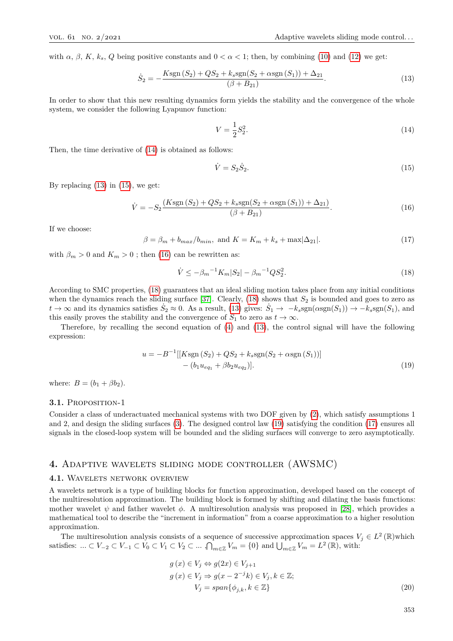with  $\alpha$ ,  $\beta$ ,  $K$ ,  $k_s$ ,  $Q$  being positive constants and  $0 < \alpha < 1$ ; then, by combining [\(10\)](#page-2-8) and [\(12\)](#page-2-9) we get:

<span id="page-3-2"></span>
$$
\dot{S}_2 = -\frac{Ksgn(S_2) + QS_2 + k_ssgn(S_2 + \alpha sgn(S_1)) + \Delta_{21}}{(\beta + B_{21})}.
$$
\n(13)

In order to show that this new resulting dynamics form yields the stability and the convergence of the whole system, we consider the following Lyapunov function:

<span id="page-3-1"></span>
$$
V = \frac{1}{2}S_2^2.
$$
\n(14)

Then, the time derivative of [\(14\)](#page-3-1) is obtained as follows:

<span id="page-3-4"></span><span id="page-3-3"></span>
$$
\dot{V} = S_2 \dot{S}_2. \tag{15}
$$

By replacing  $(13)$  in  $(15)$ , we get:

$$
\dot{V} = -S_2 \frac{(K \text{sgn}(S_2) + QS_2 + k_s \text{sgn}(S_2 + \alpha \text{sgn}(S_1)) + \Delta_{21})}{(\beta + B_{21})}.
$$
\n(16)

If we choose:

<span id="page-3-7"></span>
$$
\beta = \beta_m + b_{max}/b_{min}, \text{ and } K = K_m + k_s + \max|\Delta_{21}|. \tag{17}
$$

with  $\beta_m > 0$  and  $K_m > 0$ ; then [\(16\)](#page-3-4) can be rewritten as:

<span id="page-3-6"></span><span id="page-3-5"></span>
$$
\dot{V} \le -\beta_m{}^{-1}K_m|S_2| - \beta_m{}^{-1}QS_2^2. \tag{18}
$$

According to SMC properties, [\(18\)](#page-3-5) guarantees that an ideal sliding motion takes place from any initial conditions when the dynamics reach the sliding surface  $[37]$ . Clearly,  $(18)$  shows that  $S_2$  is bounded and goes to zero as  $t \to \infty$  and its dynamics satisfies  $\dot{S}_2 \approx 0$ . As a result, [\(13\)](#page-3-2) gives:  $\dot{S}_1 \to -k_s sgn(\alpha sgn(S_1)) \to -k_s sgn(S_1)$ , and this easily proves the stability and the convergence of  $S_1$  to zero as  $t \to \infty$ .

Therefore, by recalling the second equation of [\(4\)](#page-2-5) and [\(13\)](#page-3-2), the control signal will have the following expression:

$$
u = -B^{-1}[[Ksgn(S_2) + QS_2 + k_ssgn(S_2 + \alpha sgn(S_1))]
$$
  
–  $(b_1u_{eq_1} + \beta b_2u_{eq_2})].$  (19)

where:  $B = (b_1 + \beta b_2)$ .

## 3.1. PROPOSITION-1

Consider a class of underactuated mechanical systems with two DOF given by [\(2\)](#page-2-1), which satisfy assumptions 1 and 2, and design the sliding surfaces [\(3\)](#page-2-2). The designed control law [\(19\)](#page-3-6) satisfying the condition [\(17\)](#page-3-7) ensures all signals in the closed-loop system will be bounded and the sliding surfaces will converge to zero asymptotically.

# <span id="page-3-0"></span>**4.** Adaptive wavelets sliding mode controller (AWSMC)

## **4.1.** Wavelets network overview

A wavelets network is a type of building blocks for function approximation, developed based on the concept of the multiresolution approximation. The building block is formed by shifting and dilating the basis functions: mother wavelet  $\psi$  and father wavelet  $\phi$ . A multiresolution analysis was proposed in [\[28\]](#page-12-3), which provides a mathematical tool to describe the "increment in information" from a coarse approximation to a higher resolution approximation.

The multiresolution analysis consists of a sequence of successive approximation spaces  $V_j \in L^2(\mathbb{R})$  which satisfies:  $\ldots \subset V_{-2} \subset V_{-1} \subset V_0 \subset V_1 \subset V_2 \subset \ldots$  ,  $\bigcap_{m \in \mathbb{Z}} V_m = \{0\}$  and  $\bigcup_{m \in \mathbb{Z}} V_m = L^2(\mathbb{R})$ , with:

$$
g(x) \in V_j \Leftrightarrow g(2x) \in V_{j+1}
$$
  
\n
$$
g(x) \in V_j \Rightarrow g(x - 2^{-j}k) \in V_j, k \in \mathbb{Z};
$$
  
\n
$$
V_j = span{\phi_{j,k}, k \in \mathbb{Z}}
$$
\n(20)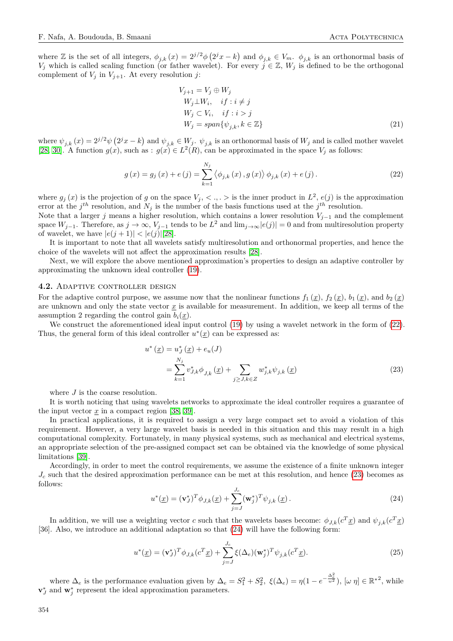where Z is the set of all integers,  $\phi_{j,k}(x) = 2^{j/2}\phi(2^jx - k)$  and  $\phi_{j,k} \in V_m$ .  $\phi_{j,k}$  is an orthonormal basis of *V*<sub>j</sub> which is called scaling function (or father wavelet). For every  $j \in \mathbb{Z}$ ,  $W_j$  is defined to be the orthogonal complement of  $V_j$  in  $V_{j+1}$ . At every resolution *j*:

$$
V_{j+1} = V_j \oplus W_j
$$
  
\n
$$
W_j \perp W_i, \quad if : i \neq j
$$
  
\n
$$
W_j \subset V_i, \quad if : i > j
$$
  
\n
$$
W_j = span{\psi_{j,k}, k \in \mathbb{Z}}
$$
\n(21)

where  $\psi_{j,k}(x) = 2^{j/2} \psi\left(2^j x - k\right)$  and  $\psi_{j,k} \in W_j$ .  $\psi_{j,k}$  is an orthonormal basis of  $W_j$  and is called mother wavelet [\[28,](#page-12-3) [30\]](#page-12-10). A function  $g(x)$ , such as :  $g(x) \in L^2(R)$ , can be approximated in the space  $V_j$  as follows:

<span id="page-4-0"></span>
$$
g(x) = g_j(x) + e(j) = \sum_{k=1}^{N_j} \langle \phi_{j,k}(x), g(x) \rangle \phi_{j,k}(x) + e(j).
$$
 (22)

where  $g_j(x)$  is the projection of *g* on the space  $V_j, \langle , , \rangle$  is the inner product in  $L^2$ ,  $e(j)$  is the approximation error at the  $j<sup>th</sup>$  resolution, and  $N<sub>j</sub>$  is the number of the basis functions used at the  $j<sup>th</sup>$  resolution.

Note that a larger *j* means a higher resolution, which contains a lower resolution  $V_{j-1}$  and the complement space  $W_{j-1}$ . Therefore, as  $j \to \infty$ ,  $V_{j-1}$  tends to be  $L^2$  and  $\lim_{j\to\infty} |e(j)| = 0$  and from multiresolution property of wavelet, we have  $|e(j + 1)| < |e(j)||28|$ .

It is important to note that all wavelets satisfy multiresolution and orthonormal properties, and hence the choice of the wavelets will not affect the approximation results [\[28\]](#page-12-3).

Next, we will explore the above mentioned approximation's properties to design an adaptive controller by approximating the unknown ideal controller [\(19\)](#page-3-6).

#### **4.2.** Adaptive controller design

For the adaptive control purpose, we assume now that the nonlinear functions  $f_1(\underline{x})$ ,  $f_2(\underline{x})$ ,  $b_1(\underline{x})$ , and  $b_2(\underline{x})$ are unknown and only the state vector  $x$  is available for measurement. In addition, we keep all terms of the assumption 2 regarding the control gain  $b_i(x)$ .

We construct the aforementioned ideal input control [\(19\)](#page-3-6) by using a wavelet network in the form of [\(22\)](#page-4-0). Thus, the general form of this ideal controller  $u^*(\underline{x})$  can be expressed as:

<span id="page-4-1"></span>
$$
u^* \left( \underline{x} \right) = u_J^* \left( \underline{x} \right) + e_u(J)
$$
  
= 
$$
\sum_{k=1}^{N_j} v_{J,k}^* \phi_{J,k} \left( \underline{x} \right) + \sum_{j \ge J, k \in Z} w_{j,k}^* \psi_{j,k} \left( \underline{x} \right)
$$
 (23)

where *J* is the coarse resolution.

It is worth noticing that using wavelets networks to approximate the ideal controller requires a guarantee of the input vector  $\underline{x}$  in a compact region [\[38,](#page-12-11) [39\]](#page-12-12).

In practical applications, it is required to assign a very large compact set to avoid a violation of this requirement. However, a very large wavelet basis is needed in this situation and this may result in a high computational complexity. Fortunately, in many physical systems, such as mechanical and electrical systems, an appropriate selection of the pre-assigned compact set can be obtained via the knowledge of some physical limitations [\[39\]](#page-12-12).

Accordingly, in order to meet the control requirements, we assume the existence of a finite unknown integer  $J_c$  such that the desired approximation performance can be met at this resolution, and hence [\(23\)](#page-4-1) becomes as follows:

<span id="page-4-2"></span>
$$
u^*(\underline{x}) = (\mathbf{v}_J^*)^T \phi_{J,k}(\underline{x}) + \sum_{j=J}^{J_c} (\mathbf{w}_j^*)^T \psi_{j,k}(\underline{x}).
$$
\n(24)

In addition, we will use a weighting vector *c* such that the wavelets bases become:  $\phi_{J,k}(c^T \underline{x})$  and  $\psi_{j,k}(c^T \underline{x})$ [36]. Also, we introduce an additional adaptation so that [\(24\)](#page-4-2) will have the following form:

<span id="page-4-3"></span>
$$
u^*(\underline{x}) = (\mathbf{v}_J^*)^T \phi_{J,k}(c^T \underline{x}) + \sum_{j=J}^{J_c} \xi(\Delta_e) (\mathbf{w}_j^*)^T \psi_{j,k}(c^T \underline{x}). \tag{25}
$$

where  $\Delta_e$  is the performance evaluation given by  $\Delta_e = S_1^2 + S_2^2$ ,  $\xi(\Delta_e) = \eta(1 - e^{-\frac{\Delta_e^2}{w^2}})$ ,  $[\omega \eta] \in \mathbb{R}^{*2}$ , while  $\mathbf{v}_j^*$  and  $\mathbf{w}_j^*$  represent the ideal approximation parameters.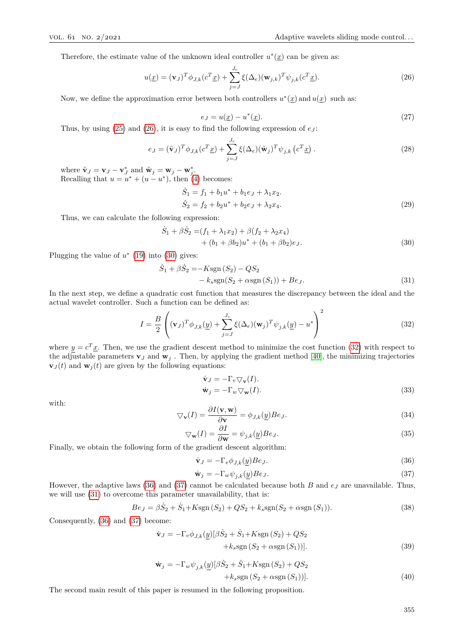Therefore, the estimate value of the unknown ideal controller  $u^*(x)$  can be given as:

<span id="page-5-0"></span>
$$
u(\underline{x}) = (\mathbf{v}_J)^T \phi_{J,k}(c^T \underline{x}) + \sum_{j=J}^{J_c} \xi(\Delta_e) (\mathbf{w}_{j,k})^T \psi_{j,k}(c^T \underline{x}).
$$
\n(26)

Now, we define the approximation error between both controllers  $u^*(\underline{x})$  and  $u(\underline{x})$  such as:

$$
e_J = u(\underline{x}) - u^*(\underline{x}).\tag{27}
$$

Thus, by using  $(25)$  and  $(26)$ , it is easy to find the following expression of  $e_J$ :

$$
e_J = (\tilde{\mathbf{v}}_J)^T \phi_{J,k}(c^T \underline{x}) + \sum_{j=J}^{J_c} \xi(\Delta_e) (\tilde{\mathbf{w}}_j)^T \psi_{j,k} (c^T \underline{x}). \tag{28}
$$

where  $\tilde{\mathbf{v}}_J = \mathbf{v}_J - \mathbf{v}_J^*$  and  $\tilde{\mathbf{w}}_j = \mathbf{w}_j - \mathbf{w}_j^*$ . Recalling that  $u = u^* + (u - u^*)$ , then [\(4\)](#page-2-5) becomes:

<span id="page-5-1"></span>
$$
\dot{S}_1 = f_1 + b_1 u^* + b_1 e_J + \lambda_1 x_2.
$$
  
\n
$$
\dot{S}_2 = f_2 + b_2 u^* + b_2 e_J + \lambda_2 x_4.
$$
\n(29)

Thus, we can calculate the following expression:

$$
\dot{S}_1 + \beta \dot{S}_2 = (f_1 + \lambda_1 x_2) + \beta (f_2 + \lambda_2 x_4) \n+ (b_1 + \beta b_2) u^* + (b_1 + \beta b_2) e_J.
$$
\n(30)

Plugging the value of  $u^*$  [\(19\)](#page-3-6) into [\(30\)](#page-5-1) gives:

$$
\dot{S}_1 + \beta \dot{S}_2 = -K \text{sgn}(S_2) - QS_2 \n- k_s \text{sgn}(S_2 + \alpha \text{sgn}(S_1)) + Be_J.
$$
\n(31)

In the next step, we define a quadratic cost function that measures the discrepancy between the ideal and the actual wavelet controller. Such a function can be defined as:

<span id="page-5-2"></span>
$$
I = \frac{B}{2} \left( (\mathbf{v}_J)^T \phi_{J,k}(\underline{y}) + \sum_{j=J}^{J_c} \xi(\Delta_e) (\mathbf{w}_j)^T \psi_{j,k}(\underline{y}) - u^* \right)^2
$$
(32)

where  $y = c^T \underline{x}$ . Then, we use the gradient descent method to minimize the cost function [\(32\)](#page-5-2) with respect to the adjustable parameters  $\mathbf{v}_J$  and  $\mathbf{w}_j$ . Then, by applying the gradient method [\[40\]](#page-12-13), the minimizing trajectories  $\mathbf{v}_J(t)$  and  $\mathbf{w}_j(t)$  are given by the following equations:

<span id="page-5-5"></span>
$$
\dot{\mathbf{v}}_J = -\Gamma_v \nabla_{\mathbf{v}}(I). \n\dot{\mathbf{w}}_j = -\Gamma_w \nabla_{\mathbf{w}}(I). \tag{33}
$$

with:

$$
\nabla_{\mathbf{v}}(I) = \frac{\partial I(\mathbf{v}, \mathbf{w})}{\partial \mathbf{v}} = \phi_{J,k}(\underline{y}) Be_J.
$$
\n(34)

$$
\nabla_{\mathbf{w}}(I) = \frac{\partial I}{\partial \mathbf{w}} = \psi_{j,k}(\underline{y}) B e_J.
$$
\n(35)

Finally, we obtain the following form of the gradient descent algorithm:

<span id="page-5-3"></span>
$$
\dot{\mathbf{v}}_J = -\Gamma_v \phi_{J,k}(\underline{y}) B e_J. \tag{36}
$$

<span id="page-5-7"></span><span id="page-5-6"></span><span id="page-5-4"></span>
$$
\dot{\mathbf{w}}_j = -\Gamma_w \psi_{j,k}(\underline{y}) B e_J. \tag{37}
$$

However, the adaptive laws [\(36\)](#page-5-3) and [\(37\)](#page-5-4) cannot be calculated because both *B* and *e<sup>J</sup>* are unavailable. Thus, we will use [\(31\)](#page-5-5) to overcome this parameter unavailability, that is:

$$
Be_J = \beta \dot{S}_2 + \dot{S}_1 + K \text{sgn}(S_2) + QS_2 + k_s \text{sgn}(S_2 + \alpha \text{sgn}(S_1)).\tag{38}
$$

Consequently, [\(36\)](#page-5-3) and [\(37\)](#page-5-4) become:

$$
\dot{\mathbf{v}}_{J} = -\Gamma_{v} \phi_{J,k}(\underline{y}) [\beta \dot{S}_{2} + \dot{S}_{1} + K \text{sgn}(S_{2}) + QS_{2} + k_{s} \text{sgn}(S_{2} + \alpha \text{sgn}(S_{1}))].
$$
\n(39)

$$
\dot{\mathbf{w}}_{j} = -\Gamma_{w} \psi_{j,k}(\underline{y}) [\beta \dot{S}_{2} + \dot{S}_{1} + K \text{sgn}(S_{2}) + QS_{2} + k_{s} \text{sgn}(S_{2} + \alpha \text{sgn}(S_{1}))].
$$
\n(40)

The second main result of this paper is resumed in the following proposition.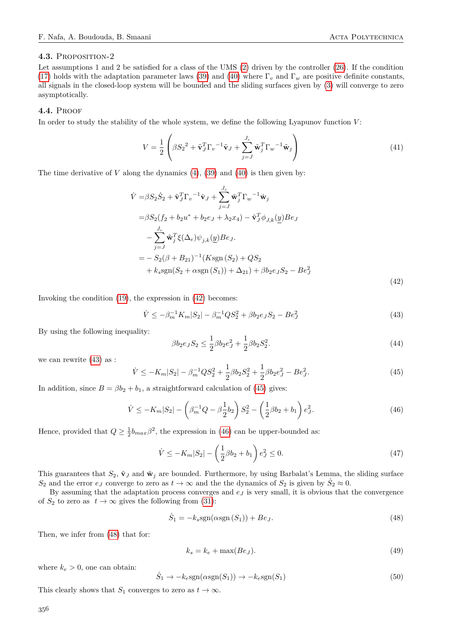## **4.3.** Proposition-2

Let assumptions 1 and 2 be satisfied for a class of the UMS [\(2\)](#page-2-1) driven by the controller [\(26\)](#page-5-0). If the condition [\(17\)](#page-3-7) holds with the adaptation parameter laws [\(39\)](#page-5-6) and [\(40\)](#page-5-7) where  $\Gamma_v$  and  $\Gamma_w$  are positive definite constants, all signals in the closed-loop system will be bounded and the sliding surfaces given by [\(3\)](#page-2-2) will converge to zero asymptotically.

#### **4.4.** Proof

In order to study the stability of the whole system, we define the following Lyapunov function *V* :

$$
V = \frac{1}{2} \left( \beta S_2^2 + \tilde{\mathbf{v}}_J^T \Gamma_v^{-1} \tilde{\mathbf{v}}_J + \sum_{j=J}^{J_c} \tilde{\mathbf{w}}_j^T \Gamma_w^{-1} \tilde{\mathbf{w}}_j \right)
$$
(41)

The time derivative of *V* along the dynamics  $(4)$ ,  $(39)$  and  $(40)$  is then given by:

$$
\dot{V} = \beta S_2 \dot{S}_2 + \tilde{\mathbf{v}}_J^T \Gamma_v^{-1} \dot{\mathbf{v}}_J + \sum_{j=J}^{J_c} \tilde{\mathbf{w}}_j^T \Gamma_w^{-1} \dot{\mathbf{w}}_j \n= \beta S_2 (f_2 + b_2 u^* + b_2 e_J + \lambda_2 x_4) - \tilde{\mathbf{v}}_J^T \phi_{J,k}(\underline{y}) B e_J \n- \sum_{j=J}^{J_c} \tilde{\mathbf{w}}_j^T \xi (\Delta_e) \psi_{j,k}(\underline{y}) B e_J \n= - S_2 (\beta + B_{21})^{-1} (K s g n (S_2) + Q S_2 \n+ k_s s g n (S_2 + \alpha s g n (S_1)) + \Delta_{21}) + \beta b_2 e_J S_2 - B e_J^2
$$
\n(42)

Invoking the condition [\(19\)](#page-3-6), the expression in [\(42\)](#page-6-0) becomes:

<span id="page-6-1"></span>
$$
\dot{V} \le -\beta_m^{-1} K_m |S_2| - \beta_m^{-1} Q S_2^2 + \beta b_2 e_J S_2 - B e_J^2 \tag{43}
$$

By using the following inequality:

<span id="page-6-0"></span>
$$
\beta b_2 e_J S_2 \le \frac{1}{2} \beta b_2 e_J^2 + \frac{1}{2} \beta b_2 S_2^2. \tag{44}
$$

we can rewrite [\(43\)](#page-6-1) as :

<span id="page-6-2"></span>
$$
\dot{V} \le -K_m|S_2| - \beta_m^{-1}QS_2^2 + \frac{1}{2}\beta b_2 S_2^2 + \frac{1}{2}\beta b_2 e_J^2 - Be_J^2. \tag{45}
$$

In addition, since  $B = \beta b_2 + b_1$ , a straightforward calculation of [\(45\)](#page-6-2) gives:

<span id="page-6-3"></span>
$$
\dot{V} \le -K_m|S_2| - \left(\beta_m^{-1}Q - \beta_{\frac{1}{2}}b_2\right)S_2^2 - \left(\frac{1}{2}\beta b_2 + b_1\right)e_J^2.
$$
\n(46)

Hence, provided that  $Q \geq \frac{1}{2}b_{max}\beta^2$ , the expression in [\(46\)](#page-6-3) can be upper-bounded as:

$$
\dot{V} \le -K_m|S_2| - \left(\frac{1}{2}\beta b_2 + b_1\right)e_J^2 \le 0.
$$
\n(47)

This guarantees that  $S_2$ ,  $\tilde{\mathbf{v}}_J$  and  $\tilde{\mathbf{w}}_j$  are bounded. Furthermore, by using Barbalat's Lemma, the sliding surface  $S_2$  and the error  $e_J$  converge to zero as  $t \to \infty$  and the the dynamics of  $S_2$  is given by  $S_2 \approx 0$ .

By assuming that the adaptation process converges and *e<sup>J</sup>* is very small, it is obvious that the convergence of  $S_2$  to zero as  $t \to \infty$  gives the following from [\(31\)](#page-5-5):

$$
\dot{S}_1 = -k_s \text{sgn}(\alpha \text{sgn}(S_1)) + Be_J. \tag{48}
$$

Then, we infer from [\(48\)](#page-6-4) that for:

<span id="page-6-4"></span>
$$
k_s = k_e + \max(Be_J). \tag{49}
$$

where  $k_e > 0$ , one can obtain:

$$
\dot{S}_1 \to -k_e \text{sgn}(\alpha \text{sgn}(S_1)) \to -k_e \text{sgn}(S_1) \tag{50}
$$

This clearly shows that *S*<sub>1</sub> converges to zero as  $t \to \infty$ .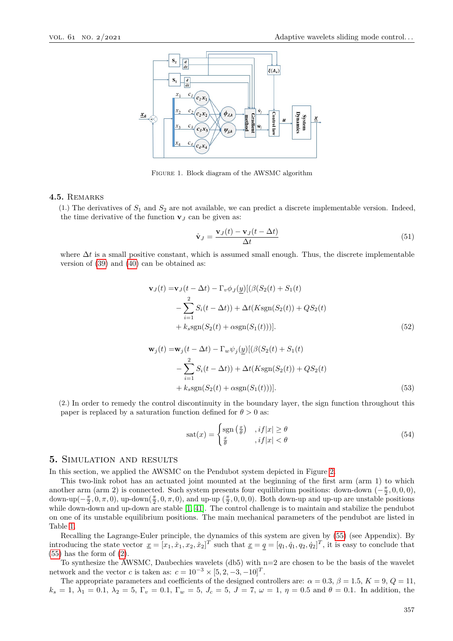

Figure 1. Block diagram of the AWSMC algorithm

# **4.5.** Remarks

 $(1)$  The derivatives of  $S_1$  and  $S_2$  are not available, we can predict a discrete implementable version. Indeed, the time derivative of the function  $\mathbf{v}_J$  can be given as:

$$
\dot{\mathbf{v}}_J = \frac{\mathbf{v}_J(t) - \mathbf{v}_J(t - \Delta t)}{\Delta t}
$$
\n(51)

where ∆*t* is a small positive constant, which is assumed small enough. Thus, the discrete implementable version of [\(39\)](#page-5-6) and [\(40\)](#page-5-7) can be obtained as:

$$
\mathbf{v}_J(t) = \mathbf{v}_J(t - \Delta t) - \Gamma_v \phi_J(\underline{y}) [(\beta(S_2(t) + S_1(t)) - \sum_{i=1}^2 S_i(t - \Delta t)) + \Delta t(K \text{sgn}(S_2(t)) + QS_2(t) + k_s \text{sgn}(S_2(t) + \alpha \text{sgn}(S_1(t)))].
$$
\n(52)

$$
\mathbf{w}_{j}(t) = \mathbf{w}_{j}(t - \Delta t) - \Gamma_{w} \psi_{j}(\underline{y}) [(\beta(S_{2}(t) + S_{1}(t)) - \sum_{i=1}^{2} S_{i}(t - \Delta t)) + \Delta t(K \operatorname{sgn}(S_{2}(t)) + QS_{2}(t) + k_{s} \operatorname{sgn}(S_{2}(t) + \alpha \operatorname{sgn}(S_{1}(t)))].
$$
\n(53)

(2.) In order to remedy the control discontinuity in the boundary layer, the sign function throughout this paper is replaced by a saturation function defined for  $\theta > 0$  as:

$$
sat(x) = \begin{cases} \operatorname{sgn}\left(\frac{x}{\theta}\right) & , if|x| \ge \theta\\ \frac{x}{\theta} & , if|x| < \theta \end{cases}
$$
\n
$$
(54)
$$

### <span id="page-7-0"></span>**5.** Simulation and results

In this section, we applied the AWSMC on the Pendubot system depicted in Figure [2.](#page-8-0)

This two-link robot has an actuated joint mounted at the beginning of the first arm (arm 1) to which another arm (arm 2) is connected. Such system presents four equilibrium positions: down-down  $(-\frac{\pi}{2}, 0, 0, 0)$ , down-up( $-\frac{\pi}{2}$ , 0,  $\pi$ , 0), up-down( $\frac{\pi}{2}$ , 0,  $\pi$ , 0), and up-up ( $\frac{\pi}{2}$ , 0, 0, 0). Both down-up and up-up are unstable positions while down-down and up-down are stable [\[1,](#page-10-0) [41\]](#page-12-14). The control challenge is to maintain and stabilize the pendubot on one of its unstable equilibrium positions. The main mechanical parameters of the pendubot are listed in Table [1.](#page-13-0)

Recalling the Lagrange-Euler principle, the dynamics of this system are given by [\(55\)](#page-12-15) (see Appendix). By introducing the state vector  $\underline{x} = [x_1, \dot{x}_1, x_2, \dot{x}_2]^T$  such that  $\underline{x} = q = [q_1, \dot{q}_1, q_2, \dot{q}_2]^T$ , it is easy to conclude that  $(55)$  has the form of  $(2)$ .

To synthesize the AWSMC, Daubechies wavelets (db5) with  $n=2$  are chosen to be the basis of the wavelet network and the vector *c* is taken as:  $c = 10^{-3} \times [5, 2, -3, -10]^T$ .

The appropriate parameters and coefficients of the designed controllers are:  $\alpha = 0.3$ ,  $\beta = 1.5$ ,  $K = 9$ ,  $Q = 11$ ,  $k_s = 1, \lambda_1 = 0.1, \lambda_2 = 5, \Gamma_v = 0.1, \Gamma_w = 5, J_c = 5, J = 7, \omega = 1, \eta = 0.5 \text{ and } \theta = 0.1.$  In addition, the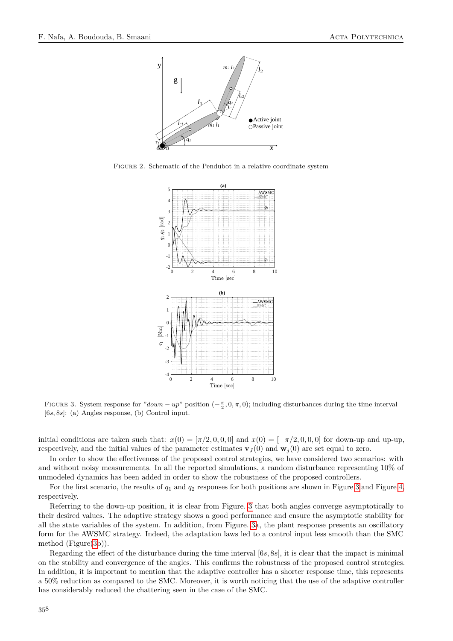<span id="page-8-0"></span>

<span id="page-8-1"></span>Figure 2. Schematic of the Pendubot in a relative coordinate system



FIGURE 3. System response for " $down - up$ " position  $(-\frac{\pi}{2}, 0, \pi, 0)$ ; including disturbances during the time interval [6*s,* 8*s*]: (a) Angles response, (b) Control input.

initial conditions are taken such that:  $x(0) = [\pi/2, 0, 0, 0]$  and  $x(0) = [-\pi/2, 0, 0, 0]$  for down-up and up-up, respectively, and the initial values of the parameter estimates  $\mathbf{v}_J(0)$  and  $\mathbf{w}_j(0)$  are set equal to zero.

In order to show the effectiveness of the proposed control strategies, we have considered two scenarios: with and without noisy measurements. In all the reported simulations, a random disturbance representing 10% of unmodeled dynamics has been added in order to show the robustness of the proposed controllers.

For the first scenario, the results of  $q_1$  and  $q_2$  responses for both positions are shown in Figure [3](#page-8-1) and Figure [4,](#page-9-0) respectively.

Referring to the down-up position, it is clear from Figure. [3](#page-8-1) that both angles converge asymptotically to their desired values. The adaptive strategy shows a good performance and ensure the asymptotic stability for all the state variables of the system. In addition, from Figure. [3a](#page-8-1), the plant response presents an oscillatory form for the AWSMC strategy. Indeed, the adaptation laws led to a control input less smooth than the SMC method (Figure[\(3b](#page-8-1))).

Regarding the effect of the disturbance during the time interval [6*s,* 8*s*], it is clear that the impact is minimal on the stability and convergence of the angles. This confirms the robustness of the proposed control strategies. In addition, it is important to mention that the adaptive controller has a shorter response time, this represents a 50% reduction as compared to the SMC. Moreover, it is worth noticing that the use of the adaptive controller has considerably reduced the chattering seen in the case of the SMC.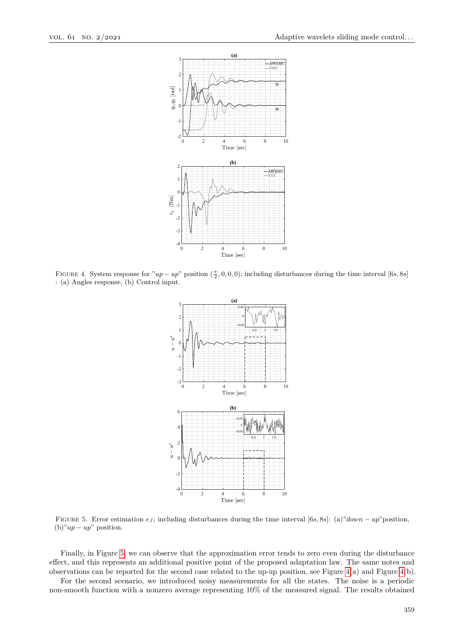<span id="page-9-0"></span>

<span id="page-9-1"></span>FIGURE 4. System response for  $"up - up"$  position  $(\frac{\pi}{2}, 0, 0, 0)$ ; including disturbances during the time interval [6*s*, 8*s*] : (a) Angles response, (b) Control input.



Figure 5. Error estimation *e<sup>J</sup>* ; including disturbances during the time interval [6*s,* 8*s*]: (a)"*down* − *up*"position, (b)"*up* − *up*" position.

Finally, in Figure [5,](#page-9-1) we can observe that the approximation error tends to zero even during the disturbance effect, and this represents an additional positive point of the proposed adaptation law. The same notes and observations can be reported for the second case related to the up-up position, see Figure [4\(](#page-9-0)a) and Figure [4\(](#page-9-0)b).

For the second scenario, we introduced noisy measurements for all the states. The noise is a periodic non-smooth function with a nonzero average representing 10% of the measured signal. The results obtained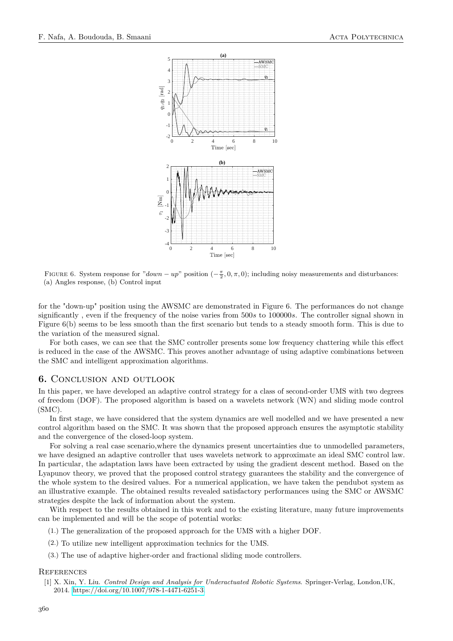

FIGURE 6. System response for " $down - up$ " position  $\left(-\frac{\pi}{2}, 0, \pi, 0\right)$ ; including noisy measurements and disturbances: (a) Angles response, (b) Control input

for the "down-up" position using the AWSMC are demonstrated in Figure 6. The performances do not change significantly , even if the frequency of the noise varies from 500*s* to 100000*s*. The controller signal shown in Figure 6(b) seems to be less smooth than the first scenario but tends to a steady smooth form. This is due to the variation of the measured signal.

For both cases, we can see that the SMC controller presents some low frequency chattering while this effect is reduced in the case of the AWSMC. This proves another advantage of using adaptive combinations between the SMC and intelligent approximation algorithms.

## <span id="page-10-1"></span>**6.** Conclusion and outlook

In this paper, we have developed an adaptive control strategy for a class of second-order UMS with two degrees of freedom (DOF). The proposed algorithm is based on a wavelets network (WN) and sliding mode control (SMC).

In first stage, we have considered that the system dynamics are well modelled and we have presented a new control algorithm based on the SMC. It was shown that the proposed approach ensures the asymptotic stability and the convergence of the closed-loop system.

For solving a real case scenario,where the dynamics present uncertainties due to unmodelled parameters, we have designed an adaptive controller that uses wavelets network to approximate an ideal SMC control law. In particular, the adaptation laws have been extracted by using the gradient descent method. Based on the Lyapunov theory, we proved that the proposed control strategy guarantees the stability and the convergence of the whole system to the desired values. For a numerical application, we have taken the pendubot system as an illustrative example. The obtained results revealed satisfactory performances using the SMC or AWSMC strategies despite the lack of information about the system.

With respect to the results obtained in this work and to the existing literature, many future improvements can be implemented and will be the scope of potential works:

- (1.) The generalization of the proposed approach for the UMS with a higher DOF.
- (2.) To utilize new intelligent approximation technics for the UMS.
- (3.) The use of adaptive higher-order and fractional sliding mode controllers.

#### **REFERENCES**

<span id="page-10-0"></span>[1] X. Xin, Y. Liu. *Control Design and Analysis for Underactuated Robotic Systems*. Springer-Verlag, London,UK, 2014. [https://doi.org/10.1007/978-1-4471-6251-3.](https://doi.org/10.1007/978-1-4471-6251-3)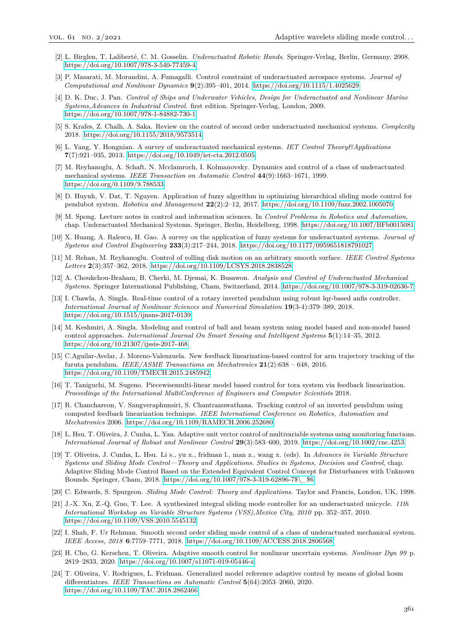- <span id="page-11-0"></span>[2] L. Birglen, T. Laliberté, C. M. Gosselin. *Underactuated Robotic Hands*. Springer-Verlag, Berlin, Germany, 2008. [https://doi.org/10.1007/978-3-540-77459-4.](https://doi.org/10.1007/978-3-540-77459-4)
- <span id="page-11-1"></span>[3] P. Masarati, M. Morandini, A. Fumagalli. Control constraint of underactuated aerospace systems. *Journal of Computational and Nonlinear Dynamics* **9**(2):395–401, 2014. [https://doi.org/10.1115/1.4025629.](https://doi.org/10.1115/1.4025629)
- <span id="page-11-2"></span>[4] D. K. Duc, J. Pan. *Control of Ships and Underwater Vehicles, Design for Underactuated and Nonlinear Marine Systems,Advances in Industrial Control*. first edition. Springer-Verlag, London, 2009. [https://doi.org/10.1007/978-1-84882-730-1.](https://doi.org/10.1007/978-1-84882-730-1)
- <span id="page-11-3"></span>[5] S. Krafes, Z. Chalh, A. Saka. Review on the control of second order underactuated mechanical systems. *Complexity* 2018. [https://doi.org/10.1155/2018/9573514.](https://doi.org/10.1155/2018/9573514)
- [6] L. Yang, Y. Hongnian. A survey of underactuated mechanical systems. *IET Control Theory&Applications* **7**(7):921–935, 2013. [https://doi.org/10.1049/iet-cta.2012.0505.](https://doi.org/10.1049/iet-cta.2012.0505)
- <span id="page-11-10"></span>[7] M. Reyhanoglu, A. Schaft, N. Mcclamroch, I. Kolmanovsky. Dynamics and control of a class of underactuated mechanical systems. *IEEE Transaction on Automatic Control* **44**(9):1663–1671, 1999. [https://doi.org/0.1109/9.788533.](https://doi.org/0.1109/9.788533)
- [8] D. Huynh, V. Dat, T. Nguyen. Application of fuzzy algorithm in optimizing hierarchical sliding mode control for pendubot system. *Robotica and Management* **22**(2):2–12, 2017. [https://doi.org/10.1109/fuzz.2002.1005070.](https://doi.org/10.1109/fuzz.2002.1005070)
- <span id="page-11-11"></span>[9] M. Spong. Lecture notes in control and information sciences. In *Control Problems in Robotics and Automation*, chap. Underactuated Mechanical Systems. Springer, Berlin, Heidelberg, 1998. [https://doi.org/10.1007/BFb0015081.](https://doi.org/10.1007/BFb0015081)
- <span id="page-11-19"></span>[10] X. Huang, A. Ralescu, H. Gao. A survey on the application of fuzzy systems for underactuated systems. *Journal of Systems and Control Engineering* **233**(3):217–244, 2018. [https://doi.org/10.1177/0959651818791027.](https://doi.org/10.1177/0959651818791027)
- [11] M. Rehan, M. Reyhanoglu. Control of rolling disk motion on an arbitrary smooth surface. *IEEE Control Systems Letters* **2**(3):357–362, 2018. [https://doi.org/10.1109/LCSYS.2018.2838528.](https://doi.org/10.1109/LCSYS.2018.2838528)
- <span id="page-11-4"></span>[12] A. Choukchou-Braham, B. Cherki, M. Djemai, K. Busawon. *Analysis and Control of Underactuated Mechanical Systems*. Springer International Publishing, Cham, Switzerland, 2014. [https://doi.org/10.1007/978-3-319-02636-7.](https://doi.org/10.1007/978-3-319-02636-7)
- <span id="page-11-5"></span>[13] I. Chawla, A. Singla. Real-time control of a rotary inverted pendulum using robust lqr-based anfis controller. *International Journal of Nonlinear Sciences and Numerical Simulation* **19**(3-4):379–389, 2018. [https://doi.org/10.1515/ijnsns-2017-0139.](https://doi.org/10.1515/ijnsns-2017-0139)
- <span id="page-11-6"></span>[14] M. Keshmiri, A. Singla. Modeling and control of ball and beam system using model based and non-model based control approaches. *International Journal On Smart Sensing and Intelligent Systems* **5**(1):14–35, 2012. [https://doi.org/10.21307/ijssis-2017-468.](https://doi.org/10.21307/ijssis-2017-468)
- <span id="page-11-7"></span>[15] C.Aguilar-Avelar, J. Moreno-Valenzuela. New feedback linearization-based control for arm trajectory tracking of the furuta pendulum. *IEEE/ASME Transactions on Mechatronics* **21**(2):638 – 648, 2016. [https://doi.org/10.1109/TMECH.2015.2485942.](https://doi.org/10.1109/TMECH.2015.2485942)
- <span id="page-11-8"></span>[16] T. Taniguchi, M. Sugeno. Piecewisemulti-linear model based control for tora system via feedback linearization. *Proceedings of the International MultiConference of Engineers and Computer Scientists* 2018.
- <span id="page-11-9"></span>[17] R. Chanchareon, V. Sangveraphunsiri, S. Chantranuwathana. Tracking control of an inverted pendulum using computed feedback linearization technique. *IEEE International Conference on Robotics, Automation and Mechatronics* 2006. [https://doi.org/10.1109/RAMECH.2006.252680.](https://doi.org/10.1109/RAMECH.2006.252680)
- <span id="page-11-12"></span>[18] L. Hsu, T. Oliveira, J. Cunha, L. Yan. Adaptive unit vector control of multivariable systems using monitoring functions. *International Journal of Robust and Nonlinear Control* **29**(3):583–600, 2019. [https://doi.org/10.1002/rnc.4253.](https://doi.org/10.1002/rnc.4253)
- <span id="page-11-13"></span>[19] T. Oliveira, J. Cunha, L. Hsu. Li s., yu x., fridman l., man z., wang x. (eds). In *Advances in Variable Structure Systems and Sliding Mode Control—Theory and Applications. Studies in Systems, Decision and Control*, chap. Adaptive Sliding Mode Control Based on the Extended Equivalent Control Concept for Disturbances with Unknown Bounds. Springer, Cham, 2018. [https://doi.org/10.1007/978-3-319-62896-7\\$\\\_\\$6.](https://doi.org/10.1007/978-3-319-62896-7$\_$6)
- <span id="page-11-14"></span>[20] C. Edwards, S. Spurgeon. *Sliding Mode Control: Theory and Applications*. Taylor and Francis, London, UK, 1998.
- <span id="page-11-15"></span>[21] J.-X. Xu, Z.-Q. Guo, T. Lee. A synthesized integral sliding mode controller for an underactuated unicycle. *11th International Workshop on Variable Structure Systems (VSS),Mexico City, 2010* pp. 352–357, 2010. [https://doi.org/10.1109/VSS.2010.5545132.](https://doi.org/10.1109/VSS.2010.5545132)
- <span id="page-11-16"></span>[22] I. Shah, F. Ur Rehman. Smooth second order sliding mode control of a class of underactuated mechanical system. *IEEE Access, 2018* **6**:7759–7771, 2018. [https://doi.org/10.1109/ACCESS.2018.2806568.](https://doi.org/10.1109/ACCESS.2018.2806568)
- <span id="page-11-17"></span>[23] H. Cho, G. Kerschen, T. Oliveira. Adaptive smooth control for nonlinear uncertain systems. *Nonlinear Dyn 99* p. 2819–2833, 2020. [https://doi.org/10.1007/s11071-019-05446-z.](https://doi.org/10.1007/s11071-019-05446-z)
- <span id="page-11-18"></span>[24] T. Oliveira, V. Rodrigues, L. Fridman. Generalized model reference adaptive control by means of global hosm differentiators. *IEEE Transactions on Automatic Control* **5**(64):2053–2060, 2020. [https://doi.org/10.1109/TAC.2018.2862466.](https://doi.org/10.1109/TAC.2018.2862466)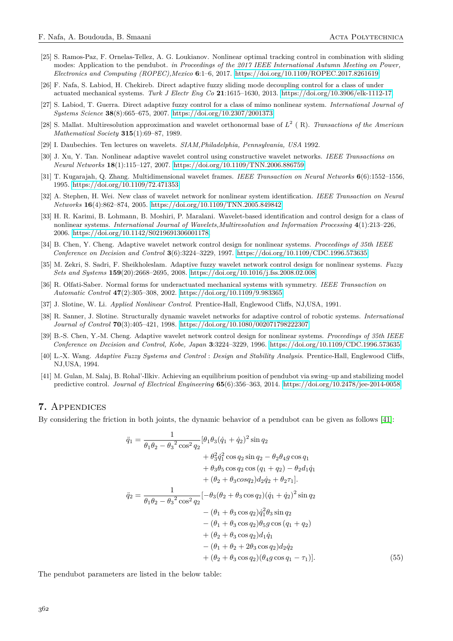- <span id="page-12-0"></span>[25] S. Ramos-Paz, F. Ornelas-Tellez, A. G. Loukianov. Nonlinear optimal tracking control in combination with sliding modes: Application to the pendubot. *in Proceedings of the 2017 IEEE International Autumn Meeting on Power, Electronics and Computing (ROPEC),Mexico* **6**:1–6, 2017. [https://doi.org/10.1109/ROPEC.2017.8261619.](https://doi.org/10.1109/ROPEC.2017.8261619)
- <span id="page-12-1"></span>[26] F. Nafa, S. Labiod, H. Chekireb. Direct adaptive fuzzy sliding mode decoupling control for a class of under actuated mechanical systems. *Turk J Electr Eng Co* **21**:1615–1630, 2013. [https://doi.org/10.3906/elk-1112-17.](https://doi.org/10.3906/elk-1112-17)
- <span id="page-12-2"></span>[27] S. Labiod, T. Guerra. Direct adaptive fuzzy control for a class of mimo nonlinear system. *International Journal of Systems Science* **38**(8):665–675, 2007. [https://doi.org/10.2307/2001373.](https://doi.org/10.2307/2001373)
- <span id="page-12-3"></span>[28] S. Mallat. Multiresolution approximation and wavelet orthonormal base of *L* 2 ( R). *Transactions of the American Mathematical Society* **315**(1):69–87, 1989.
- <span id="page-12-4"></span>[29] I. Daubechies. Ten lectures on wavelets. *SIAM,Philadelphia, Pennsylvania, USA* 1992.
- <span id="page-12-10"></span>[30] J. Xu, Y. Tan. Nonlinear adaptive wavelet control using constructive wavelet networks. *IEEE Transactions on Neural Networks* **18**(1):115–127, 2007. [https://doi.org/10.1109/TNN.2006.886759.](https://doi.org/10.1109/TNN.2006.886759)
- <span id="page-12-5"></span>[31] T. Kugarajah, Q. Zhang. Multidimensional wavelet frames. *IEEE Transaction on Neural Networks* **6**(6):1552–1556, 1995. [https://doi.org/10.1109/72.471353.](https://doi.org/10.1109/72.471353)
- <span id="page-12-6"></span>[32] A. Stephen, H. Wei. New class of wavelet network for nonlinear system identification. *IEEE Transaction on Neural Networks* **16**(4):862–874, 2005. [https://doi.org/10.1109/TNN.2005.849842.](https://doi.org/10.1109/TNN.2005.849842)
- [33] H. R. Karimi, B. Lohmann, B. Moshiri, P. Maralani. Wavelet-based identification and control design for a class of nonlinear systems. *International Journal of Wavelets,Multiresolution and Information Processing* **4**(1):213–226, 2006. [https://doi.org/10.1142/S0219691306001178.](https://doi.org/10.1142/S0219691306001178)
- [34] B. Chen, Y. Cheng. Adaptive wavelet network control design for nonlinear systems. *Proceedings of 35th IEEE Conference on Decision and Control* **3**(6):3224–3229, 1997. [https://doi.org/10.1109/CDC.1996.573635.](https://doi.org/10.1109/CDC.1996.573635)
- <span id="page-12-7"></span>[35] M. Zekri, S. Sadri, F. Sheikholeslam. Adaptive fuzzy wavelet network control design for nonlinear systems. *Fuzzy Sets and Systems* **159**(20):2668–2695, 2008. [https://doi.org/10.1016/j.fss.2008.02.008.](https://doi.org/10.1016/j.fss.2008.02.008)
- <span id="page-12-8"></span>[36] R. Olfati-Saber. Normal forms for underactuated mechanical systems with symmetry. *IEEE Transaction on Automatic Control* **47**(2):305–308, 2002. [https://doi.org/10.1109/9.983365.](https://doi.org/10.1109/9.983365)
- <span id="page-12-9"></span>[37] J. Slotine, W. Li. *Applied Nonlinear Control*. Prentice-Hall, Englewood Cliffs, NJ,USA, 1991.
- <span id="page-12-11"></span>[38] R. Sanner, J. Slotine. Structurally dynamic wavelet networks for adaptive control of robotic systems. *International Journal of Control* **70**(3):405–421, 1998. [https://doi.org/10.1080/002071798222307.](https://doi.org/10.1080/002071798222307)
- <span id="page-12-12"></span>[39] B.-S. Chen, Y.-M. Cheng. Adaptive wavelet network control design for nonlinear systems. *Proceedings of 35th IEEE Conference on Decision and Control, Kobe, Japan* **3**:3224–3229, 1996. [https://doi.org/10.1109/CDC.1996.573635.](https://doi.org/10.1109/CDC.1996.573635)
- <span id="page-12-13"></span>[40] L.-X. Wang. *Adaptive Fuzzy Systems and Control* : *Design and Stability Analysis*. Prentice-Hall, Englewood Cliffs, NJ,USA, 1994.
- <span id="page-12-14"></span>[41] M. Gulan, M. Salaj, B. Rohal'-Ilkiv. Achieving an equilibrium position of pendubot via swing–up and stabilizing model predictive control. *Journal of Electrical Engineering* **65**(6):356–363, 2014. [https://doi.org/10.2478/jee-2014-0058.](https://doi.org/10.2478/jee-2014-0058)

## **7.** Appendices

By considering the friction in both joints, the dynamic behavior of a pendubot can be given as follows [\[41\]](#page-12-14):

<span id="page-12-15"></span>
$$
\ddot{q}_1 = \frac{1}{\theta_1 \theta_2 - \theta_3^2 \cos^2 q_2} [\theta_1 \theta_3 (\dot{q}_1 + \dot{q}_2)^2 \sin q_2 \n+ \theta_3^2 \dot{q}_1^2 \cos q_2 \sin q_2 - \theta_2 \theta_4 g \cos q_1 \n+ \theta_3 \theta_5 \cos q_2 \cos (q_1 + q_2) - \theta_2 d_1 \dot{q}_1 \n+ (\theta_2 + \theta_3 \cos q_2) d_2 \dot{q}_2 + \theta_2 \tau_1].
$$
\n
$$
\ddot{q}_2 = \frac{1}{\theta_1 \theta_2 - \theta_3^2 \cos^2 q_2} [-\theta_3 (\theta_2 + \theta_3 \cos q_2) (\dot{q}_1 + \dot{q}_2)^2 \sin q_2 \n- (\theta_1 + \theta_3 \cos q_2) \dot{q}_1^2 \theta_3 \sin q_2 \n- (\theta_1 + \theta_3 \cos q_2) \theta_5 g \cos (q_1 + q_2) \n+ (\theta_2 + \theta_3 \cos q_2) d_1 \dot{q}_1 \n- (\theta_1 + \theta_2 + 2\theta_3 \cos q_2) d_2 \dot{q}_2 \n+ (\theta_2 + \theta_3 \cos q_2) (\theta_4 g \cos q_1 - \tau_1)]. \tag{55}
$$

The pendubot parameters are listed in the below table: